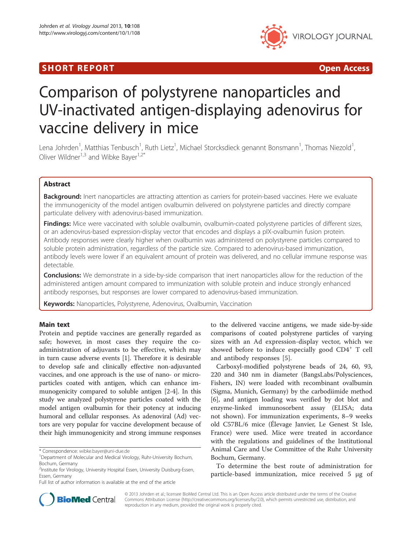# Short The Port of the Port of the Port of the Port of the Port of the Port of the Port of the Port of the Port<br>Short The Port of the Port of the Port of the Port of the Port of the Port of the Port of the Port of the Port



# Comparison of polystyrene nanoparticles and UV-inactivated antigen-displaying adenovirus for vaccine delivery in mice

Lena Johrden<sup>1</sup>, Matthias Tenbusch<sup>1</sup>, Ruth Lietz<sup>1</sup>, Michael Storcksdieck genannt Bonsmann<sup>1</sup>, Thomas Niezold<sup>1</sup> , Oliver Wildner<sup>1,3</sup> and Wibke Bayer<sup>1,2\*</sup>

Background: Inert nanoparticles are attracting attention as carriers for protein-based vaccines. Here we evaluate the immunogenicity of the model antigen ovalbumin delivered on polystyrene particles and directly compare particulate delivery with adenovirus-based immunization.

Findings: Mice were vaccinated with soluble ovalbumin, ovalbumin-coated polystyrene particles of different sizes, or an adenovirus-based expression-display vector that encodes and displays a pIX-ovalbumin fusion protein. Antibody responses were clearly higher when ovalbumin was administered on polystyrene particles compared to soluble protein administration, regardless of the particle size. Compared to adenovirus-based immunization, antibody levels were lower if an equivalent amount of protein was delivered, and no cellular immune response was detectable.

**Conclusions:** We demonstrate in a side-by-side comparison that inert nanoparticles allow for the reduction of the administered antigen amount compared to immunization with soluble protein and induce strongly enhanced antibody responses, but responses are lower compared to adenovirus-based immunization.

Keywords: Nanoparticles, Polystyrene, Adenovirus, Ovalbumin, Vaccination

## **Main text**

Protein and peptide vaccines are generally regarded as safe; however, in most cases they require the coadministration of adjuvants to be effective, which may in turn cause adverse events [[1](#page-4-0)]. Therefore it is desirable to develop safe and clinically effective non-adjuvanted vaccines, and one approach is the use of nano- or microparticles coated with antigen, which can enhance immunogenicity compared to soluble antigen [[2-4](#page-4-0)]. In this study we analyzed polystyrene particles coated with the model antigen ovalbumin for their potency at inducing humoral and cellular responses. As adenoviral (Ad) vectors are very popular for vaccine development because of their high immunogenicity and strong immune responses

\* Correspondence: [wibke.bayer@uni-due.de](mailto:wibke.bayer@uni-due.de) <sup>1</sup>

Full list of author information is available at the end of the article

to the delivered vaccine antigens, we made side-by-side comparisons of coated polystyrene particles of varying sizes with an Ad expression-display vector, which we showed before to induce especially good CD4<sup>+</sup> T cell and antibody responses [[5\]](#page-4-0).

Carboxyl-modified polystyrene beads of 24, 60, 93, 220 and 340 nm in diameter (BangsLabs/Polysciences, Fishers, IN) were loaded with recombinant ovalbumin (Sigma, Munich, Germany) by the carbodiimide method [[6\]](#page-4-0), and antigen loading was verified by dot blot and enzyme-linked immunosorbent assay (ELISA; data not shown). For immunization experiments, 8–9 weeks old C57BL/6 mice (Élevage Janvier, Le Genest St Isle, France) were used. Mice were treated in accordance with the regulations and guidelines of the Institutional Animal Care and Use Committee of the Ruhr University Bochum, Germany.

To determine the best route of administration for particle-based immunization, mice received 5 μg of



© 2013 Johrden et al.; licensee BioMed Central Ltd. This is an Open Access article distributed under the terms of the Creative Commons Attribution License [\(http://creativecommons.org/licenses/by/2.0\)](http://creativecommons.org/licenses/by/2.0), which permits unrestricted use, distribution, and reproduction in any medium, provided the original work is properly cited.

<sup>&</sup>lt;sup>1</sup>Department of Molecular and Medical Virology, Ruhr-University Bochum, Bochum, Germany

<sup>2</sup> Institute for Virology, University Hospital Essen, University Duisburg-Essen, Essen, Germany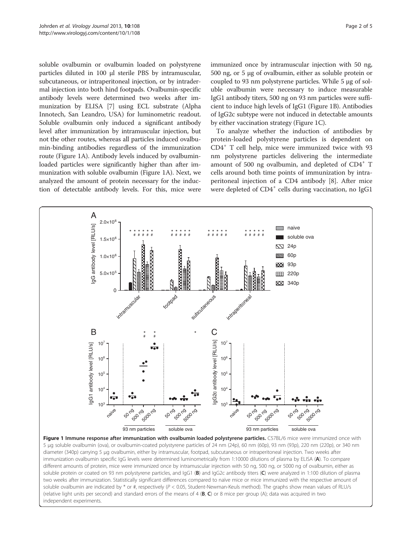soluble ovalbumin or ovalbumin loaded on polystyrene particles diluted in 100 μl sterile PBS by intramuscular, subcutaneous, or intraperitoneal injection, or by intradermal injection into both hind footpads. Ovalbumin-specific antibody levels were determined two weeks after immunization by ELISA [[7\]](#page-4-0) using ECL substrate (Alpha Innotech, San Leandro, USA) for luminometric readout. Soluble ovalbumin only induced a significant antibody level after immunization by intramuscular injection, but not the other routes, whereas all particles induced ovalbumin-binding antibodies regardless of the immunization route (Figure 1A). Antibody levels induced by ovalbuminloaded particles were significantly higher than after immunization with soluble ovalbumin (Figure 1A). Next, we analyzed the amount of protein necessary for the induction of detectable antibody levels. For this, mice were

immunized once by intramuscular injection with 50 ng, 500 ng, or 5 μg of ovalbumin, either as soluble protein or coupled to 93 nm polystyrene particles. While 5 μg of soluble ovalbumin were necessary to induce measurable IgG1 antibody titers, 500 ng on 93 nm particles were sufficient to induce high levels of IgG1 (Figure 1B). Antibodies of IgG2c subtype were not induced in detectable amounts by either vaccination strategy (Figure 1C).

To analyze whether the induction of antibodies by protein-loaded polystyrene particles is dependent on  $CD4<sup>+</sup>$  T cell help, mice were immunized twice with 93 nm polystyrene particles delivering the intermediate amount of 500 ng ovalbumin, and depleted of CD4<sup>+</sup> T cells around both time points of immunization by intraperitoneal injection of a CD4 antibody [[8](#page-4-0)]. After mice were depleted of CD4<sup>+</sup> cells during vaccination, no IgG1



Figure 1 Immune response after immunization with ovalbumin loaded polystyrene particles. C57BL/6 mice were immunized once with 5 μg soluble ovalbumin (ova), or ovalbumin-coated polystyrene particles of 24 nm (24p), 60 nm (60p), 93 nm (93p), 220 nm (220p), or 340 nm diameter (340p) carrying 5 μg ovalbumin, either by intramuscular, footpad, subcutaneous or intraperitoneal injection. Two weeks after immunization ovalbumin specific IgG levels were determined luminometrically from 1:10000 dilutions of plasma by ELISA (A). To compare different amounts of protein, mice were immunized once by intramuscular injection with 50 ng, 500 ng, or 5000 ng of ovalbumin, either as soluble protein or coated on 93 nm polystyrene particles, and IgG1 (B) and IgG2c antibody titers (C) were analyzed in 1:100 dilution of plasma two weeks after immunization. Statistically significant differences compared to naïve mice or mice immunized with the respective amount of soluble ovalbumin are indicated by  $*$  or #, respectively ( $P < 0.05$ , Student-Newman-Keuls method). The graphs show mean values of RLU/s (relative light units per second) and standard errors of the means of  $4$  (B, C) or 8 mice per group (A); data was acquired in two independent experiments.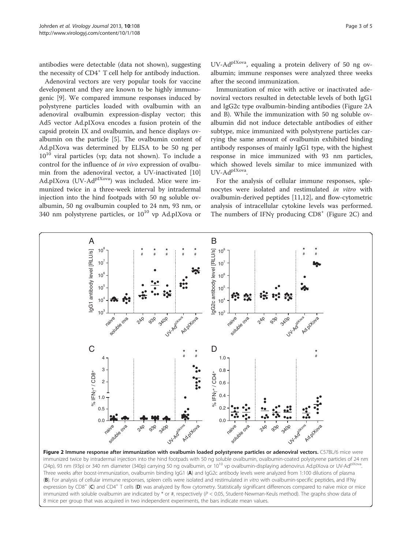<span id="page-2-0"></span>antibodies were detectable (data not shown), suggesting the necessity of CD4<sup>+</sup> T cell help for antibody induction.

Adenoviral vectors are very popular tools for vaccine development and they are known to be highly immunogenic [\[9](#page-4-0)]. We compared immune responses induced by polystyrene particles loaded with ovalbumin with an adenoviral ovalbumin expression-display vector; this Ad5 vector Ad.pIXova encodes a fusion protein of the capsid protein IX and ovalbumin, and hence displays ovalbumin on the particle [[5](#page-4-0)]. The ovalbumin content of Ad.pIXova was determined by ELISA to be 50 ng per  $10^{10}$  viral particles (vp; data not shown). To include a control for the influence of in vivo expression of ovalbumin from the adenoviral vector, a UV-inactivated [[10](#page-4-0)] Ad.pIXova (UV-AdpIXova) was included. Mice were immunized twice in a three-week interval by intradermal injection into the hind footpads with 50 ng soluble ovalbumin, 50 ng ovalbumin coupled to 24 nm, 93 nm, or 340 nm polystyrene particles, or  $10^{10}$  vp Ad.pIXova or

UV-Ad<sup>pIXova</sup>, equaling a protein delivery of 50 ng ovalbumin; immune responses were analyzed three weeks after the second immunization.

Immunization of mice with active or inactivated adenoviral vectors resulted in detectable levels of both IgG1 and IgG2c type ovalbumin-binding antibodies (Figure 2A and B). While the immunization with 50 ng soluble ovalbumin did not induce detectable antibodies of either subtype, mice immunized with polystyrene particles carrying the same amount of ovalbumin exhibited binding antibody responses of mainly IgG1 type, with the highest response in mice immunized with 93 nm particles, which showed levels similar to mice immunized with UV-AdpIXova.

For the analysis of cellular immune responses, splenocytes were isolated and restimulated in vitro with ovalbumin-derived peptides [\[11,12](#page-4-0)], and flow-cytometric analysis of intracellular cytokine levels was performed. The numbers of IFN $\gamma$  producing CD8<sup>+</sup> (Figure 2C) and



immunized twice by intradermal injection into the hind footpads with 50 ng soluble ovalbumin, ovalbumin-coated polystyrene particles of 24 nm (24p), 93 nm (93p) or 340 nm diameter (340p) carrying 50 ng ovalbumin, or 10<sup>10</sup> vp ovalbumin-displaying adenovirus Ad.plXova or UV-Ad<sup>pIXova</sup>. Three weeks after boost-immunization, ovalbumin binding IgG1 (A) and IgG2c antibody levels were analyzed from 1:100 dilutions of plasma (B). For analysis of cellular immune responses, spleen cells were isolated and restimulated in vitro with ovalbumin-specific peptides, and IFNy expression by CD8<sup>+</sup> (C) and CD4<sup>+</sup> T cells (D) was analyzed by flow cytometry. Statistically significant differences compared to naïve mice or mice immunized with soluble ovalbumin are indicated by  $*$  or #, respectively ( $P < 0.05$ , Student-Newman-Keuls method). The graphs show data of 8 mice per group that was acquired in two independent experiments, the bars indicate mean values.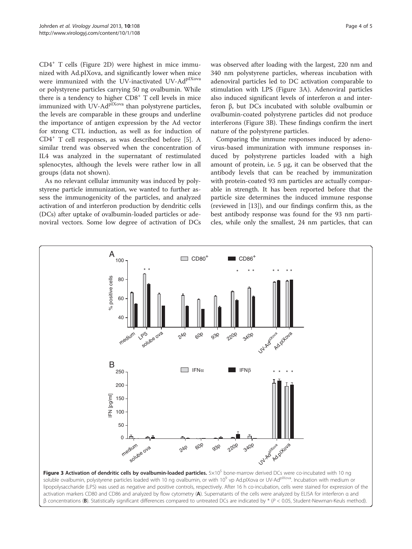CD4<sup>+</sup> T cells (Figure [2](#page-2-0)D) were highest in mice immunized with Ad.pIXova, and significantly lower when mice were immunized with the UV-inactivated UV-Ad<sup>pIXova</sup> or polystyrene particles carrying 50 ng ovalbumin. While there is a tendency to higher  $CDS<sup>+</sup> T$  cell levels in mice immunized with  $UV-AdP<sup>IXova</sup>$  than polystyrene particles, the levels are comparable in these groups and underline the importance of antigen expression by the Ad vector for strong CTL induction, as well as for induction of CD4<sup>+</sup> T cell responses, as was described before [[5\]](#page-4-0). A similar trend was observed when the concentration of IL4 was analyzed in the supernatant of restimulated splenocytes, although the levels were rather low in all groups (data not shown).

As no relevant cellular immunity was induced by polystyrene particle immunization, we wanted to further assess the immunogenicity of the particles, and analyzed activation of and interferon production by dendritic cells (DCs) after uptake of ovalbumin-loaded particles or adenoviral vectors. Some low degree of activation of DCs

was observed after loading with the largest, 220 nm and 340 nm polystyrene particles, whereas incubation with adenoviral particles led to DC activation comparable to stimulation with LPS (Figure 3A). Adenoviral particles also induced significant levels of interferon  $\alpha$  and interferon β, but DCs incubated with soluble ovalbumin or ovalbumin-coated polystyrene particles did not produce interferons (Figure 3B). These findings confirm the inert nature of the polystyrene particles.

Comparing the immune responses induced by adenovirus-based immunization with immune responses induced by polystyrene particles loaded with a high amount of protein, i.e. 5 μg, it can be observed that the antibody levels that can be reached by immunization with protein-coated 93 nm particles are actually comparable in strength. It has been reported before that the particle size determines the induced immune response (reviewed in [\[13](#page-4-0)]), and our findings confirm this, as the best antibody response was found for the 93 nm particles, while only the smallest, 24 nm particles, that can



lipopolysaccharide (LPS) was used as negative and positive controls, respectively. After 16 h co-incubation, cells were stained for expression of the activation markers CD80 and CD86 and analyzed by flow cytometry (A). Supernatants of the cells were analyzed by ELISA for interferon α and β concentrations (B). Statistically significant differences compared to untreated DCs are indicated by \* (P < 0.05, Student-Newman-Keuls method).